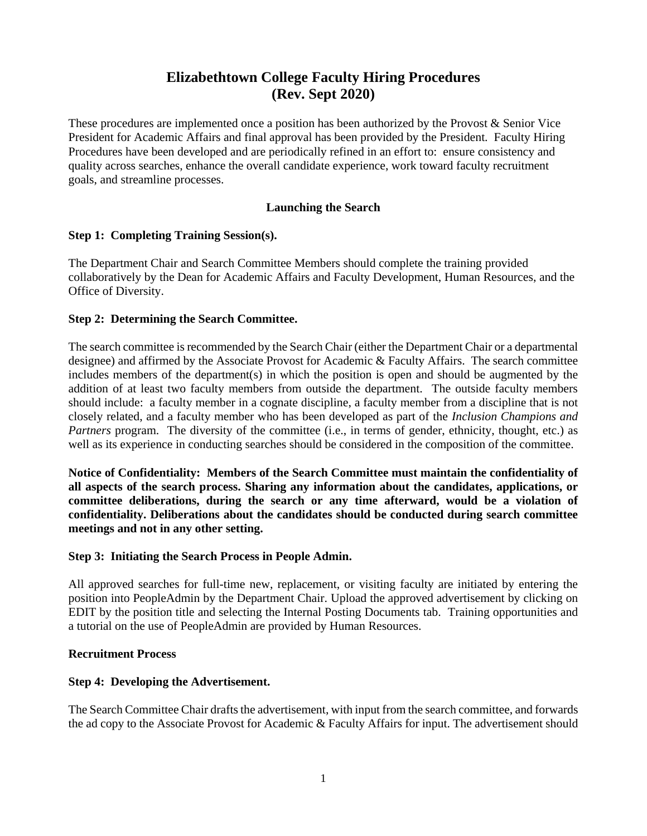# **Elizabethtown College Faculty Hiring Procedures (Rev. Sept 2020)**

These procedures are implemented once a position has been authorized by the Provost & Senior Vice President for Academic Affairs and final approval has been provided by the President. Faculty Hiring Procedures have been developed and are periodically refined in an effort to: ensure consistency and quality across searches, enhance the overall candidate experience, work toward faculty recruitment goals, and streamline processes.

#### **Launching the Search**

## **Step 1: Completing Training Session(s).**

The Department Chair and Search Committee Members should complete the training provided collaboratively by the Dean for Academic Affairs and Faculty Development, Human Resources, and the Office of Diversity.

#### **Step 2: Determining the Search Committee.**

The search committee is recommended by the Search Chair (either the Department Chair or a departmental designee) and affirmed by the Associate Provost for Academic & Faculty Affairs. The search committee includes members of the department(s) in which the position is open and should be augmented by the addition of at least two faculty members from outside the department. The outside faculty members should include: a faculty member in a cognate discipline, a faculty member from a discipline that is not closely related, and a faculty member who has been developed as part of the *Inclusion Champions and Partners* program. The diversity of the committee (i.e., in terms of gender, ethnicity, thought, etc.) as well as its experience in conducting searches should be considered in the composition of the committee.

**Notice of Confidentiality: Members of the Search Committee must maintain the confidentiality of all aspects of the search process. Sharing any information about the candidates, applications, or committee deliberations, during the search or any time afterward, would be a violation of confidentiality. Deliberations about the candidates should be conducted during search committee meetings and not in any other setting.** 

## **Step 3: Initiating the Search Process in People Admin.**

All approved searches for full-time new, replacement, or visiting faculty are initiated by entering the position into PeopleAdmin by the Department Chair. Upload the approved advertisement by clicking on EDIT by the position title and selecting the Internal Posting Documents tab. Training opportunities and a tutorial on the use of PeopleAdmin are provided by Human Resources.

## **Recruitment Process**

## **Step 4: Developing the Advertisement.**

The Search Committee Chair drafts the advertisement, with input from the search committee, and forwards the ad copy to the Associate Provost for Academic & Faculty Affairs for input. The advertisement should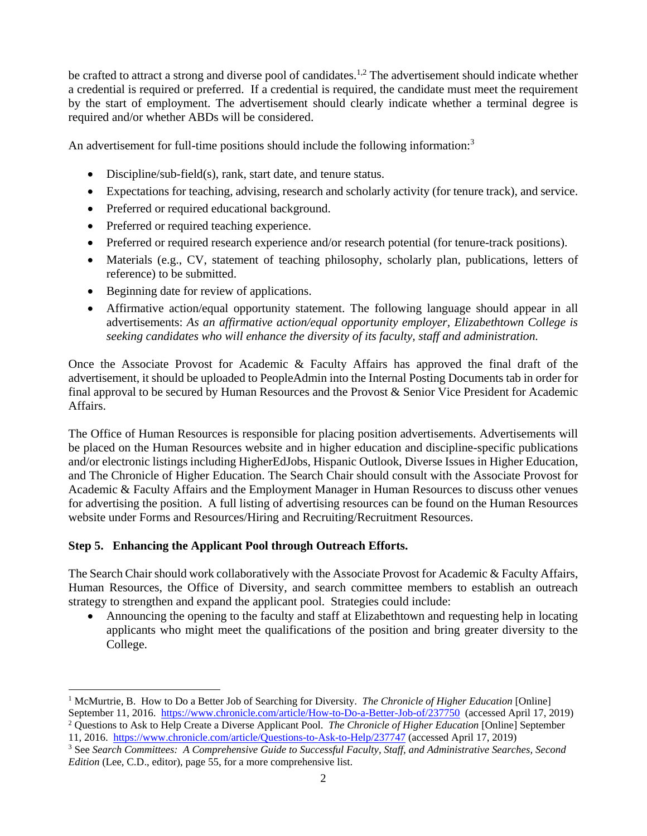be crafted to attract a strong and diverse pool of candidates.<sup>1,2</sup> The advertisement should indicate whether a credential is required or preferred. If a credential is required, the candidate must meet the requirement by the start of employment. The advertisement should clearly indicate whether a terminal degree is required and/or whether ABDs will be considered.

An advertisement for full-time positions should include the following information:<sup>3</sup>

- Discipline/sub-field(s), rank, start date, and tenure status.
- Expectations for teaching, advising, research and scholarly activity (for tenure track), and service.
- Preferred or required educational background.
- Preferred or required teaching experience.
- Preferred or required research experience and/or research potential (for tenure-track positions).
- Materials (e.g., CV, statement of teaching philosophy, scholarly plan, publications, letters of reference) to be submitted.
- Beginning date for review of applications.
- Affirmative action/equal opportunity statement. The following language should appear in all advertisements: *As an affirmative action/equal opportunity employer, Elizabethtown College is seeking candidates who will enhance the diversity of its faculty, staff and administration.*

Once the Associate Provost for Academic & Faculty Affairs has approved the final draft of the advertisement, it should be uploaded to PeopleAdmin into the Internal Posting Documents tab in order for final approval to be secured by Human Resources and the Provost & Senior Vice President for Academic Affairs.

The Office of Human Resources is responsible for placing position advertisements. Advertisements will be placed on the Human Resources website and in higher education and discipline-specific publications and/or electronic listings including HigherEdJobs, Hispanic Outlook, Diverse Issues in Higher Education, and The Chronicle of Higher Education. The Search Chair should consult with the Associate Provost for Academic & Faculty Affairs and the Employment Manager in Human Resources to discuss other venues for advertising the position. A full listing of advertising resources can be found on the Human Resources website under Forms and Resources/Hiring and Recruiting/Recruitment Resources.

## **Step 5. Enhancing the Applicant Pool through Outreach Efforts.**

The Search Chair should work collaboratively with the Associate Provost for Academic & Faculty Affairs, Human Resources, the Office of Diversity, and search committee members to establish an outreach strategy to strengthen and expand the applicant pool. Strategies could include:

 Announcing the opening to the faculty and staff at Elizabethtown and requesting help in locating applicants who might meet the qualifications of the position and bring greater diversity to the College.

<sup>1</sup> McMurtrie, B. How to Do a Better Job of Searching for Diversity. *The Chronicle of Higher Education* [Online] September 11, 2016.<https://www.chronicle.com/article/How-to-Do-a-Better-Job-of/237750>(accessed April 17, 2019) <sup>2</sup> Questions to Ask to Help Create a Diverse Applicant Pool. *The Chronicle of Higher Education* [Online] September

<sup>11, 2016.</sup> <https://www.chronicle.com/article/Questions-to-Ask-to-Help/237747> (accessed April 17, 2019)

<sup>3</sup> See *Search Committees: A Comprehensive Guide to Successful Faculty, Staff, and Administrative Searches, Second Edition* (Lee, C.D., editor), page 55, for a more comprehensive list.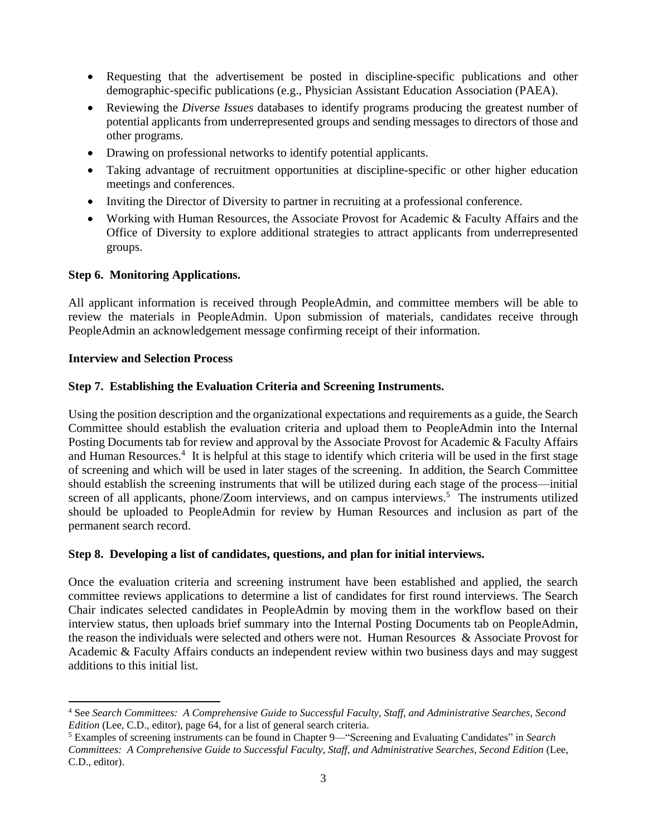- Requesting that the advertisement be posted in discipline-specific publications and other demographic-specific publications (e.g., Physician Assistant Education Association (PAEA).
- Reviewing the *Diverse Issues* databases to identify programs producing the greatest number of potential applicants from underrepresented groups and sending messages to directors of those and other programs.
- Drawing on professional networks to identify potential applicants.
- Taking advantage of recruitment opportunities at discipline-specific or other higher education meetings and conferences.
- Inviting the Director of Diversity to partner in recruiting at a professional conference.
- Working with Human Resources, the Associate Provost for Academic & Faculty Affairs and the Office of Diversity to explore additional strategies to attract applicants from underrepresented groups.

## **Step 6. Monitoring Applications.**

All applicant information is received through PeopleAdmin, and committee members will be able to review the materials in PeopleAdmin. Upon submission of materials, candidates receive through PeopleAdmin an acknowledgement message confirming receipt of their information.

## **Interview and Selection Process**

# **Step 7. Establishing the Evaluation Criteria and Screening Instruments.**

Using the position description and the organizational expectations and requirements as a guide, the Search Committee should establish the evaluation criteria and upload them to PeopleAdmin into the Internal Posting Documents tab for review and approval by the Associate Provost for Academic & Faculty Affairs and Human Resources.<sup>4</sup> It is helpful at this stage to identify which criteria will be used in the first stage of screening and which will be used in later stages of the screening. In addition, the Search Committee should establish the screening instruments that will be utilized during each stage of the process—initial screen of all applicants, phone/Zoom interviews, and on campus interviews.<sup>5</sup> The instruments utilized should be uploaded to PeopleAdmin for review by Human Resources and inclusion as part of the permanent search record.

## **Step 8. Developing a list of candidates, questions, and plan for initial interviews.**

Once the evaluation criteria and screening instrument have been established and applied, the search committee reviews applications to determine a list of candidates for first round interviews. The Search Chair indicates selected candidates in PeopleAdmin by moving them in the workflow based on their interview status, then uploads brief summary into the Internal Posting Documents tab on PeopleAdmin, the reason the individuals were selected and others were not. Human Resources & Associate Provost for Academic & Faculty Affairs conducts an independent review within two business days and may suggest additions to this initial list.

 $\overline{a}$ <sup>4</sup> See *Search Committees: A Comprehensive Guide to Successful Faculty, Staff, and Administrative Searches, Second Edition* (Lee, C.D., editor), page 64, for a list of general search criteria.

<sup>5</sup> Examples of screening instruments can be found in Chapter 9—"Screening and Evaluating Candidates" in *Search Committees: A Comprehensive Guide to Successful Faculty, Staff, and Administrative Searches, Second Edition* (Lee, C.D., editor).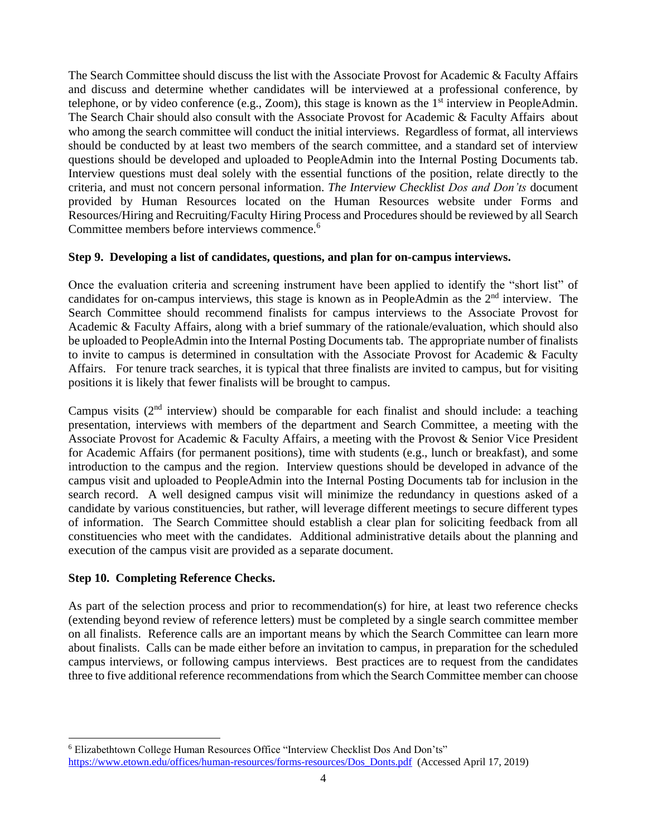The Search Committee should discuss the list with the Associate Provost for Academic & Faculty Affairs and discuss and determine whether candidates will be interviewed at a professional conference, by telephone, or by video conference (e.g., Zoom), this stage is known as the  $1<sup>st</sup>$  interview in PeopleAdmin. The Search Chair should also consult with the Associate Provost for Academic & Faculty Affairs about who among the search committee will conduct the initial interviews. Regardless of format, all interviews should be conducted by at least two members of the search committee, and a standard set of interview questions should be developed and uploaded to PeopleAdmin into the Internal Posting Documents tab. Interview questions must deal solely with the essential functions of the position, relate directly to the criteria, and must not concern personal information. *The Interview Checklist Dos and Don'ts* document provided by Human Resources located on the Human Resources website under Forms and Resources/Hiring and Recruiting/Faculty Hiring Process and Procedures should be reviewed by all Search Committee members before interviews commence.<sup>6</sup>

## **Step 9. Developing a list of candidates, questions, and plan for on-campus interviews.**

Once the evaluation criteria and screening instrument have been applied to identify the "short list" of candidates for on-campus interviews, this stage is known as in PeopleAdmin as the  $2<sup>nd</sup>$  interview. The Search Committee should recommend finalists for campus interviews to the Associate Provost for Academic & Faculty Affairs, along with a brief summary of the rationale/evaluation, which should also be uploaded to PeopleAdmin into the Internal Posting Documents tab. The appropriate number of finalists to invite to campus is determined in consultation with the Associate Provost for Academic & Faculty Affairs. For tenure track searches, it is typical that three finalists are invited to campus, but for visiting positions it is likely that fewer finalists will be brought to campus.

Campus visits  $(2<sup>nd</sup>$  interview) should be comparable for each finalist and should include: a teaching presentation, interviews with members of the department and Search Committee, a meeting with the Associate Provost for Academic & Faculty Affairs, a meeting with the Provost & Senior Vice President for Academic Affairs (for permanent positions), time with students (e.g., lunch or breakfast), and some introduction to the campus and the region. Interview questions should be developed in advance of the campus visit and uploaded to PeopleAdmin into the Internal Posting Documents tab for inclusion in the search record. A well designed campus visit will minimize the redundancy in questions asked of a candidate by various constituencies, but rather, will leverage different meetings to secure different types of information. The Search Committee should establish a clear plan for soliciting feedback from all constituencies who meet with the candidates. Additional administrative details about the planning and execution of the campus visit are provided as a separate document.

## **Step 10. Completing Reference Checks.**

 $\overline{a}$ 

As part of the selection process and prior to recommendation(s) for hire, at least two reference checks (extending beyond review of reference letters) must be completed by a single search committee member on all finalists. Reference calls are an important means by which the Search Committee can learn more about finalists. Calls can be made either before an invitation to campus, in preparation for the scheduled campus interviews, or following campus interviews. Best practices are to request from the candidates three to five additional reference recommendations from which the Search Committee member can choose

<sup>6</sup> Elizabethtown College Human Resources Office "Interview Checklist Dos And Don'ts" [https://www.etown.edu/offices/human-resources/forms-resources/Dos\\_Donts.pdf](https://www.etown.edu/offices/human-resources/forms-resources/Dos_Donts.pdf) (Accessed April 17, 2019)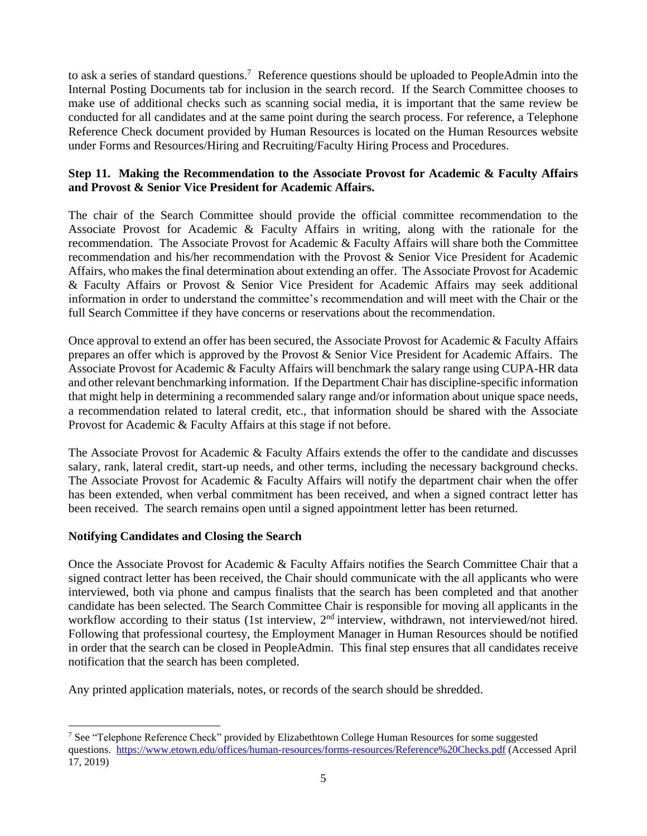to ask a series of standard questions. <sup>7</sup> Reference questions should be uploaded to PeopleAdmin into the Internal Posting Documents tab for inclusion in the search record. If the Search Committee chooses to make use of additional checks such as scanning social media, it is important that the same review be conducted for all candidates and at the same point during the search process. For reference, a Telephone Reference Check document provided by Human Resources is located on the Human Resources website under Forms and Resources/Hiring and Recruiting/Faculty Hiring Process and Procedures.

## **Step 11. Making the Recommendation to the Associate Provost for Academic & Faculty Affairs and Provost & Senior Vice President for Academic Affairs.**

The chair of the Search Committee should provide the official committee recommendation to the Associate Provost for Academic & Faculty Affairs in writing, along with the rationale for the recommendation. The Associate Provost for Academic & Faculty Affairs will share both the Committee recommendation and his/her recommendation with the Provost & Senior Vice President for Academic Affairs, who makes the final determination about extending an offer. The Associate Provost for Academic & Faculty Affairs or Provost & Senior Vice President for Academic Affairs may seek additional information in order to understand the committee's recommendation and will meet with the Chair or the full Search Committee if they have concerns or reservations about the recommendation.

Once approval to extend an offer has been secured, the Associate Provost for Academic & Faculty Affairs prepares an offer which is approved by the Provost & Senior Vice President for Academic Affairs. The Associate Provost for Academic & Faculty Affairs will benchmark the salary range using CUPA-HR data and other relevant benchmarking information. If the Department Chair has discipline-specific information that might help in determining a recommended salary range and/or information about unique space needs, a recommendation related to lateral credit, etc., that information should be shared with the Associate Provost for Academic & Faculty Affairs at this stage if not before.

The Associate Provost for Academic & Faculty Affairs extends the offer to the candidate and discusses salary, rank, lateral credit, start-up needs, and other terms, including the necessary background checks. The Associate Provost for Academic & Faculty Affairs will notify the department chair when the offer has been extended, when verbal commitment has been received, and when a signed contract letter has been received. The search remains open until a signed appointment letter has been returned.

## **Notifying Candidates and Closing the Search**

Once the Associate Provost for Academic & Faculty Affairs notifies the Search Committee Chair that a signed contract letter has been received, the Chair should communicate with the all applicants who were interviewed, both via phone and campus finalists that the search has been completed and that another candidate has been selected. The Search Committee Chair is responsible for moving all applicants in the workflow according to their status (1st interview,  $2<sup>nd</sup>$  interview, withdrawn, not interviewed/not hired. Following that professional courtesy, the Employment Manager in Human Resources should be notified in order that the search can be closed in PeopleAdmin. This final step ensures that all candidates receive notification that the search has been completed.

Any printed application materials, notes, or records of the search should be shredded.

 <sup>7</sup> See "Telephone Reference Check" provided by Elizabethtown College Human Resources for some suggested questions. <https://www.etown.edu/offices/human-resources/forms-resources/Reference%20Checks.pdf> (Accessed April 17, 2019)